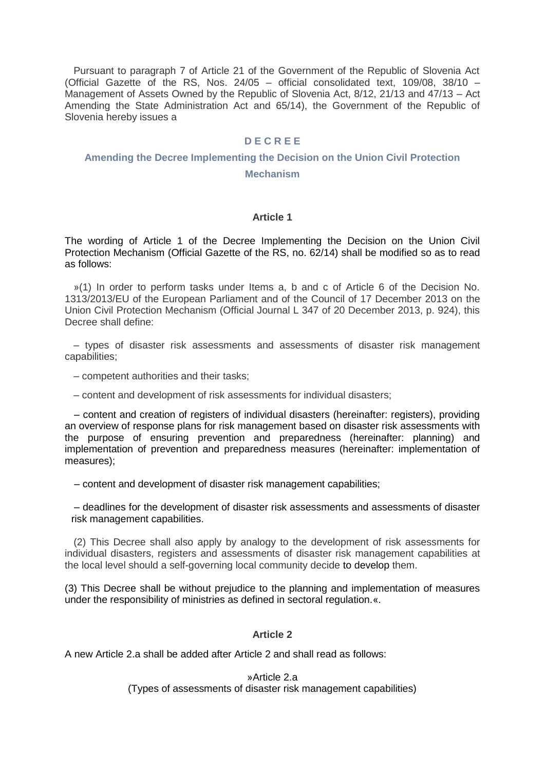Pursuant to paragraph 7 of Article 21 of the Government of the Republic of Slovenia Act (Official Gazette of the RS, Nos.  $24/05$  – official consolidated text, 109/08, 38/10 – Management of Assets Owned by the Republic of Slovenia Act, 8/12, 21/13 and 47/13 – Act Amending the State Administration Act and 65/14), the Government of the Republic of Slovenia hereby issues a

## **D E C R E E**

## **Amending the Decree Implementing the Decision on the Union Civil Protection**

**Mechanism**

#### **Article 1**

The wording of Article 1 of the Decree Implementing the Decision on the Union Civil Protection Mechanism (Official Gazette of the RS, no. 62/14) shall be modified so as to read as follows:

»(1) In order to perform tasks under Items a, b and c of Article 6 of the Decision No. 1313/2013/EU of the European Parliament and of the Council of 17 December 2013 on the Union Civil Protection Mechanism (Official Journal L 347 of 20 December 2013, p. 924), this Decree shall define:

– types of disaster risk assessments and assessments of disaster risk management capabilities;

– competent authorities and their tasks;

– content and development of risk assessments for individual disasters;

– content and creation of registers of individual disasters (hereinafter: registers), providing an overview of response plans for risk management based on disaster risk assessments with the purpose of ensuring prevention and preparedness (hereinafter: planning) and implementation of prevention and preparedness measures (hereinafter: implementation of measures);

– content and development of disaster risk management capabilities;

– deadlines for the development of disaster risk assessments and assessments of disaster risk management capabilities.

(2) This Decree shall also apply by analogy to the development of risk assessments for individual disasters, registers and assessments of disaster risk management capabilities at the local level should a self-governing local community decide to develop them.

(3) This Decree shall be without prejudice to the planning and implementation of measures under the responsibility of ministries as defined in sectoral regulation.«.

#### **Article 2**

A new Article 2.a shall be added after Article 2 and shall read as follows:

»Article 2.a (Types of assessments of disaster risk management capabilities)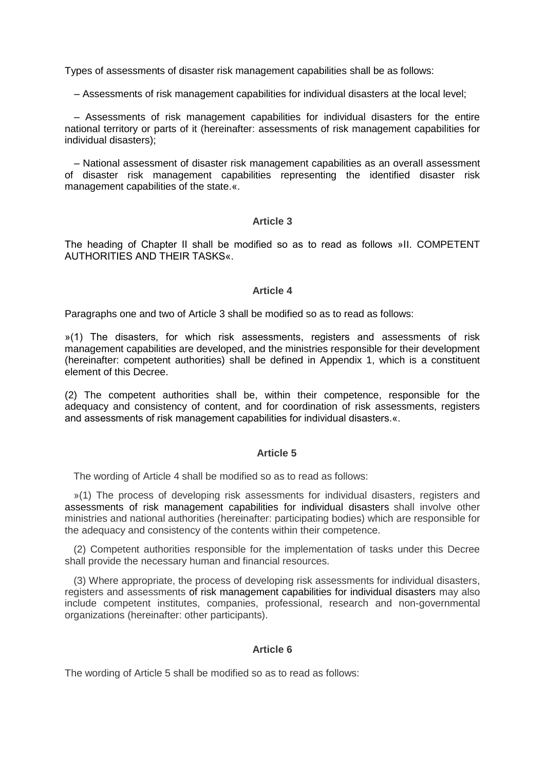Types of assessments of disaster risk management capabilities shall be as follows:

– Assessments of risk management capabilities for individual disasters at the local level;

– Assessments of risk management capabilities for individual disasters for the entire national territory or parts of it (hereinafter: assessments of risk management capabilities for individual disasters);

– National assessment of disaster risk management capabilities as an overall assessment of disaster risk management capabilities representing the identified disaster risk management capabilities of the state.«.

## **Article 3**

The heading of Chapter II shall be modified so as to read as follows »II. COMPETENT AUTHORITIES AND THEIR TASKS«.

#### **Article 4**

Paragraphs one and two of Article 3 shall be modified so as to read as follows:

»(1) The disasters, for which risk assessments, registers and assessments of risk management capabilities are developed, and the ministries responsible for their development (hereinafter: competent authorities) shall be defined in Appendix 1, which is a constituent element of this Decree.

(2) The competent authorities shall be, within their competence, responsible for the adequacy and consistency of content, and for coordination of risk assessments, registers and assessments of risk management capabilities for individual disasters.«.

## **Article 5**

The wording of Article 4 shall be modified so as to read as follows:

»(1) The process of developing risk assessments for individual disasters, registers and assessments of risk management capabilities for individual disasters shall involve other ministries and national authorities (hereinafter: participating bodies) which are responsible for the adequacy and consistency of the contents within their competence.

(2) Competent authorities responsible for the implementation of tasks under this Decree shall provide the necessary human and financial resources.

(3) Where appropriate, the process of developing risk assessments for individual disasters, registers and assessments of risk management capabilities for individual disasters may also include competent institutes, companies, professional, research and non-governmental organizations (hereinafter: other participants).

#### **Article 6**

The wording of Article 5 shall be modified so as to read as follows: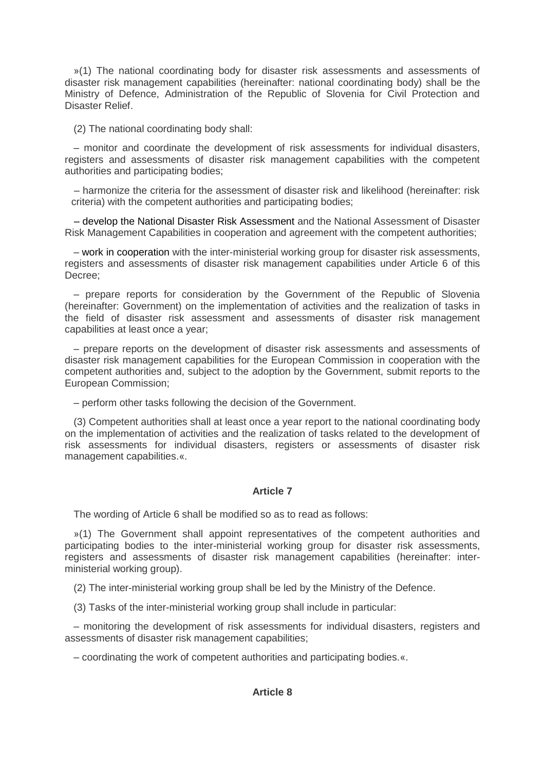»(1) The national coordinating body for disaster risk assessments and assessments of disaster risk management capabilities (hereinafter: national coordinating body) shall be the Ministry of Defence, Administration of the Republic of Slovenia for Civil Protection and Disaster Relief.

(2) The national coordinating body shall:

– monitor and coordinate the development of risk assessments for individual disasters, registers and assessments of disaster risk management capabilities with the competent authorities and participating bodies;

– harmonize the criteria for the assessment of disaster risk and likelihood (hereinafter: risk criteria) with the competent authorities and participating bodies;

– develop the National Disaster Risk Assessment and the National Assessment of Disaster Risk Management Capabilities in cooperation and agreement with the competent authorities;

– work in cooperation with the inter-ministerial working group for disaster risk assessments, registers and assessments of disaster risk management capabilities under Article 6 of this Decree;

– prepare reports for consideration by the Government of the Republic of Slovenia (hereinafter: Government) on the implementation of activities and the realization of tasks in the field of disaster risk assessment and assessments of disaster risk management capabilities at least once a year;

– prepare reports on the development of disaster risk assessments and assessments of disaster risk management capabilities for the European Commission in cooperation with the competent authorities and, subject to the adoption by the Government, submit reports to the European Commission;

– perform other tasks following the decision of the Government.

(3) Competent authorities shall at least once a year report to the national coordinating body on the implementation of activities and the realization of tasks related to the development of risk assessments for individual disasters, registers or assessments of disaster risk management capabilities.«.

## **Article 7**

The wording of Article 6 shall be modified so as to read as follows:

»(1) The Government shall appoint representatives of the competent authorities and participating bodies to the inter-ministerial working group for disaster risk assessments, registers and assessments of disaster risk management capabilities (hereinafter: interministerial working group).

(2) The inter-ministerial working group shall be led by the Ministry of the Defence.

(3) Tasks of the inter-ministerial working group shall include in particular:

– monitoring the development of risk assessments for individual disasters, registers and assessments of disaster risk management capabilities;

– coordinating the work of competent authorities and participating bodies.«.

## **Article 8**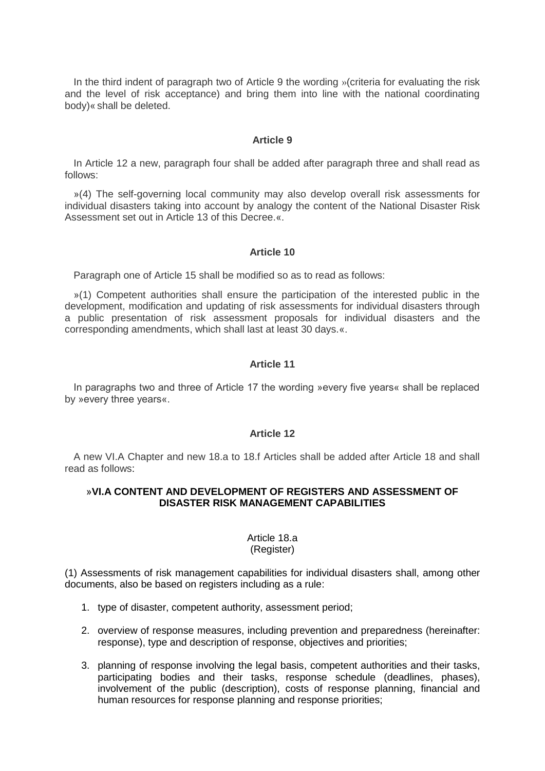In the third indent of paragraph two of Article 9 the wording »(criteria for evaluating the risk and the level of risk acceptance) and bring them into line with the national coordinating body)« shall be deleted.

#### **Article 9**

In Article 12 a new, paragraph four shall be added after paragraph three and shall read as follows:

»(4) The self-governing local community may also develop overall risk assessments for individual disasters taking into account by analogy the content of the National Disaster Risk Assessment set out in Article 13 of this Decree.«

## **Article 10**

Paragraph one of Article 15 shall be modified so as to read as follows:

»(1) Competent authorities shall ensure the participation of the interested public in the development, modification and updating of risk assessments for individual disasters through a public presentation of risk assessment proposals for individual disasters and the corresponding amendments, which shall last at least 30 days.«.

# **Article 11**

In paragraphs two and three of Article 17 the wording »every five years« shall be replaced by »every three years«.

## **Article 12**

A new VI.A Chapter and new 18.a to 18.f Articles shall be added after Article 18 and shall read as follows:

## »**VI.A CONTENT AND DEVELOPMENT OF REGISTERS AND ASSESSMENT OF DISASTER RISK MANAGEMENT CAPABILITIES**

#### Article 18.a (Register)

(1) Assessments of risk management capabilities for individual disasters shall, among other documents, also be based on registers including as a rule:

- 1. type of disaster, competent authority, assessment period;
- 2. overview of response measures, including prevention and preparedness (hereinafter: response), type and description of response, objectives and priorities;
- 3. planning of response involving the legal basis, competent authorities and their tasks, participating bodies and their tasks, response schedule (deadlines, phases), involvement of the public (description), costs of response planning, financial and human resources for response planning and response priorities;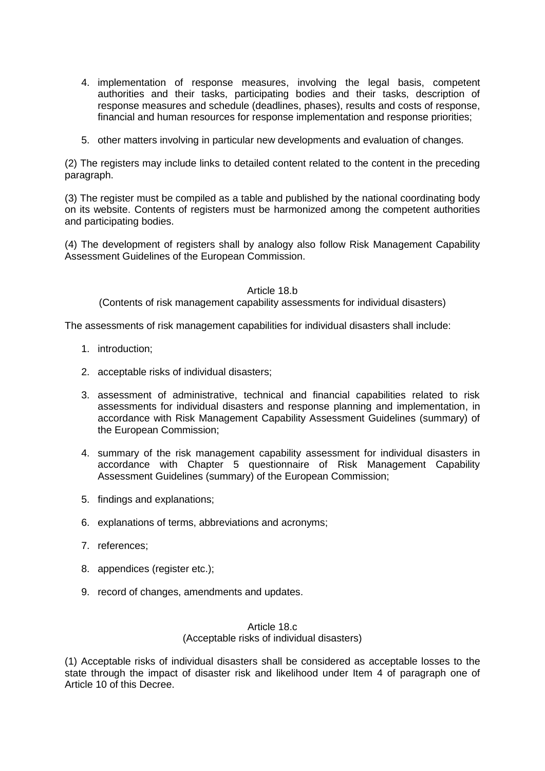- 4. implementation of response measures, involving the legal basis, competent authorities and their tasks, participating bodies and their tasks, description of response measures and schedule (deadlines, phases), results and costs of response, financial and human resources for response implementation and response priorities;
- 5. other matters involving in particular new developments and evaluation of changes.

(2) The registers may include links to detailed content related to the content in the preceding paragraph.

(3) The register must be compiled as a table and published by the national coordinating body on its website. Contents of registers must be harmonized among the competent authorities and participating bodies.

(4) The development of registers shall by analogy also follow Risk Management Capability Assessment Guidelines of the European Commission.

Article 18.b

(Contents of risk management capability assessments for individual disasters)

The assessments of risk management capabilities for individual disasters shall include:

- 1. introduction;
- 2. acceptable risks of individual disasters;
- 3. assessment of administrative, technical and financial capabilities related to risk assessments for individual disasters and response planning and implementation, in accordance with Risk Management Capability Assessment Guidelines (summary) of the European Commission;
- 4. summary of the risk management capability assessment for individual disasters in accordance with Chapter 5 questionnaire of Risk Management Capability Assessment Guidelines (summary) of the European Commission;
- 5. findings and explanations;
- 6. explanations of terms, abbreviations and acronyms;
- 7. references;
- 8. appendices (register etc.);
- 9. record of changes, amendments and updates.

## Article 18.c (Acceptable risks of individual disasters)

(1) Acceptable risks of individual disasters shall be considered as acceptable losses to the state through the impact of disaster risk and likelihood under Item 4 of paragraph one of Article 10 of this Decree.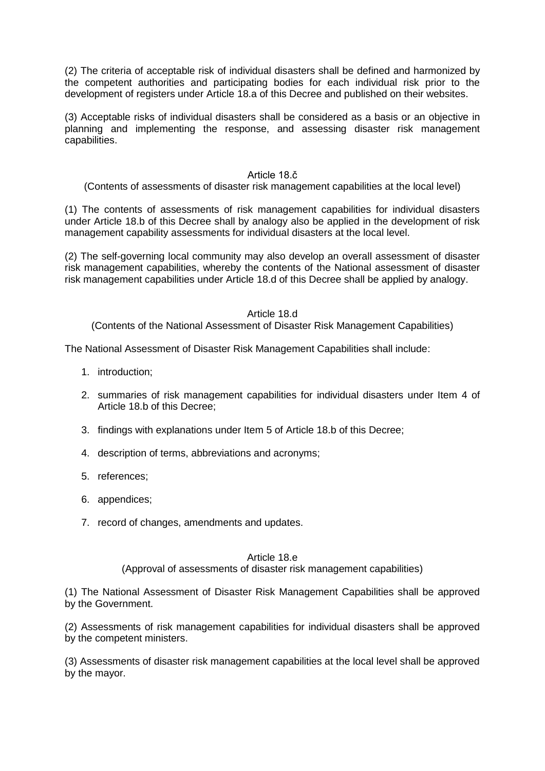(2) The criteria of acceptable risk of individual disasters shall be defined and harmonized by the competent authorities and participating bodies for each individual risk prior to the development of registers under Article 18.a of this Decree and published on their websites.

(3) Acceptable risks of individual disasters shall be considered as a basis or an objective in planning and implementing the response, and assessing disaster risk management capabilities.

#### Article 18.č

## (Contents of assessments of disaster risk management capabilities at the local level)

(1) The contents of assessments of risk management capabilities for individual disasters under Article 18.b of this Decree shall by analogy also be applied in the development of risk management capability assessments for individual disasters at the local level.

(2) The self-governing local community may also develop an overall assessment of disaster risk management capabilities, whereby the contents of the National assessment of disaster risk management capabilities under Article 18.d of this Decree shall be applied by analogy.

#### Article 18.d

(Contents of the National Assessment of Disaster Risk Management Capabilities)

The National Assessment of Disaster Risk Management Capabilities shall include:

- 1. introduction;
- 2. summaries of risk management capabilities for individual disasters under Item 4 of Article 18.b of this Decree;
- 3. findings with explanations under Item 5 of Article 18.b of this Decree;
- 4. description of terms, abbreviations and acronyms;
- 5. references;
- 6. appendices;
- 7. record of changes, amendments and updates.

## Article 18.e

(Approval of assessments of disaster risk management capabilities)

(1) The National Assessment of Disaster Risk Management Capabilities shall be approved by the Government.

(2) Assessments of risk management capabilities for individual disasters shall be approved by the competent ministers.

(3) Assessments of disaster risk management capabilities at the local level shall be approved by the mayor.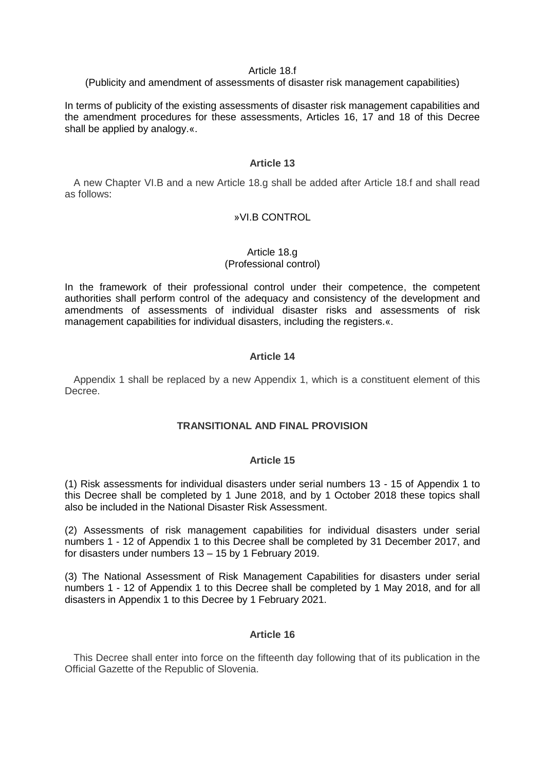#### Article 18.f

#### (Publicity and amendment of assessments of disaster risk management capabilities)

In terms of publicity of the existing assessments of disaster risk management capabilities and the amendment procedures for these assessments, Articles 16, 17 and 18 of this Decree shall be applied by analogy.«.

#### **Article 13**

A new Chapter VI.B and a new Article 18.g shall be added after Article 18.f and shall read as follows:

## »VI.B CONTROL

#### Article 18.g (Professional control)

In the framework of their professional control under their competence, the competent authorities shall perform control of the adequacy and consistency of the development and amendments of assessments of individual disaster risks and assessments of risk management capabilities for individual disasters, including the registers.«.

## **Article 14**

Appendix 1 shall be replaced by a new Appendix 1, which is a constituent element of this Decree.

## **TRANSITIONAL AND FINAL PROVISION**

#### **Article 15**

(1) Risk assessments for individual disasters under serial numbers 13 - 15 of Appendix 1 to this Decree shall be completed by 1 June 2018, and by 1 October 2018 these topics shall also be included in the National Disaster Risk Assessment.

(2) Assessments of risk management capabilities for individual disasters under serial numbers 1 - 12 of Appendix 1 to this Decree shall be completed by 31 December 2017, and for disasters under numbers 13 – 15 by 1 February 2019.

(3) The National Assessment of Risk Management Capabilities for disasters under serial numbers 1 - 12 of Appendix 1 to this Decree shall be completed by 1 May 2018, and for all disasters in Appendix 1 to this Decree by 1 February 2021.

#### **Article 16**

This Decree shall enter into force on the fifteenth day following that of its publication in the Official Gazette of the Republic of Slovenia.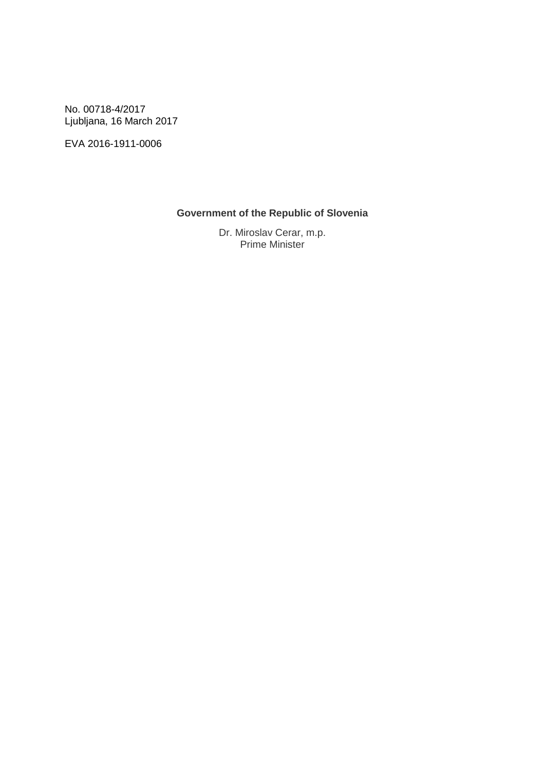No. 00718-4/2017 Ljubljana, 16 March 2017

EVA 2016-1911-0006

# **Government of the Republic of Slovenia**

Dr. Miroslav Cerar, m.p. Prime Minister